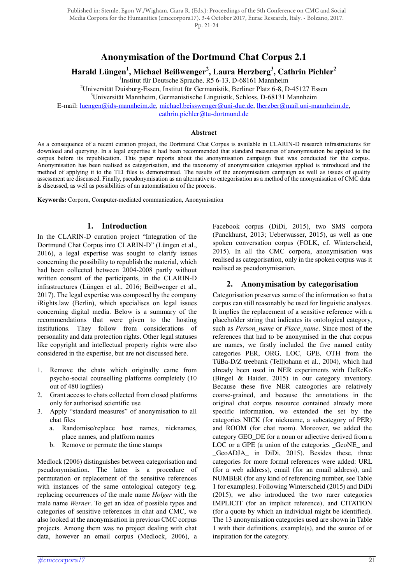Published in: Stemle, Egon W./Wigham, Ciara R. (Eds.): Proceedings of the 5th Conference on CMC and Social Media Corpora for the Humanities (cmccorpora17). 3-4 October 2017, Eurac Research, Italy. - Bolzano, 2017. Pp. 21-24

# **Anonymisation of the Dortmund Chat Corpus 2.1**

**Harald Lüngen<sup>1</sup> , Michael Beißwenger<sup>2</sup> , Laura Herzberg<sup>3</sup> , Cathrin Pichler<sup>2</sup>**

<sup>1</sup>Institut für Deutsche Sprache, R5 6-13, D-68161 Mannheim

<sup>2</sup>Universität Duisburg-Essen, Institut für Germanistik, Berliner Platz 6-8, D-45127 Essen

 $3$ Universität Mannheim, Germanistische Linguistik, Schloss, D-68131 Mannheim

E-mail: luengen@ids-mannheim.de, michael.beisswenger@uni-due.de, lherzber@mail.uni-mannheim.de,

cathrin.pichler@tu-dortmund.de

#### **Abstract**

As a consequence of a recent curation project, the Dortmund Chat Corpus is available in CLARIN-D research infrastructures for download and querying. In a legal expertise it had been recommended that standard measures of anonymisation be applied to the corpus before its republication. This paper reports about the anonymisation campaign that was conducted for the corpus. Anonymisation has been realised as categorisation, and the taxonomy of anonymisation categories applied is introduced and the method of applying it to the TEI files is demonstrated. The results of the anonymisation campaign as well as issues of quality assessment are discussed. Finally, pseudonymisation as an alternative to categorisation as a method of the anonymisation of CMC data is discussed, as well as possibilities of an automatisation of the process.

**Keywords:** Corpora, Computer-mediated communication, Anonymisation

#### **1. Introduction**

In the CLARIN-D curation project "Integration of the Dortmund Chat Corpus into CLARIN-D" (Lüngen et al., 2016), a legal expertise was sought to clarify issues concerning the possibility to republish the material, which had been collected between 2004-2008 partly without written consent of the participants, in the CLARIN-D infrastructures (Lüngen et al., 2016; Beißwenger et al., 2017). The legal expertise was composed by the company iRights.law (Berlin), which specialises on legal issues concerning digital media. Below is a summary of the recommendations that were given to the hosting institutions. They follow from considerations of personality and data protection rights. Other legal statuses like copyright and intellectual property rights were also considered in the expertise, but are not discussed here.

- 1. Remove the chats which originally came from psycho-social counselling platforms completely (10 out of 480 logfiles)
- 2. Grant access to chats collected from closed platforms only for authorised scientific use
- 3. Apply "standard measures" of anonymisation to all chat files
	- a. Randomise/replace host names, nicknames, place names, and platform names
	- b. Remove or permute the time stamps

Medlock (2006) distinguishes between categorisation and pseudonymisation. The latter is a procedure of permutation or replacement of the sensitive references with instances of the same ontological category (e.g. replacing occurrences of the male name *Holger* with the male name *Werner*. To get an idea of possible types and categories of sensitive references in chat and CMC, we also looked at the anonymisation in previous CMC corpus projects. Among them was no project dealing with chat data, however an email corpus (Medlock, 2006), a Facebook corpus (DiDi, 2015), two SMS corpora (Panckhurst, 2013; Ueberwasser, 2015), as well as one spoken conversation corpus (FOLK, cf. Winterscheid, 2015). In all the CMC corpora, anonymisation was realised as categorisation, only in the spoken corpus was it realised as pseudonymisation.

#### **2. Anonymisation by categorisation**

Categorisation preserves some of the information so that a corpus can still reasonably be used for linguistic analyses. It implies the replacement of a sensitive reference with a placeholder string that indicates its ontological category, such as *Person\_name* or *Place\_name*. Since most of the references that had to be anonymised in the chat corpus are names, we firstly included the five named entity categories PER, ORG, LOC, GPE, OTH from the TüBa-D/Z treebank (Telljohann et al., 2004), which had already been used in NER experiments with DeReKo (Bingel & Haider, 2015) in our category inventory. Because these five NER cateogories are relatively coarse-grained, and because the annotations in the original chat corpus resource contained already more specific information, we extended the set by the categories NICK (for nickname, a subcategory of PER) and ROOM (for chat room). Moreover, we added the category GEO\_DE for a noun or adjective derived from a LOC or a GPE (a union of the categories GeoNE and \_GeoADJA\_ in DiDi, 2015). Besides these, three categories for more formal references were added: URL (for a web address), email (for an email address), and NUMBER (for any kind of referencing number, see Table 1 for examples). Following Winterscheid (2015) and DiDi (2015), we also introduced the two rarer categories IMPLICIT (for an implicit reference), and CITATION (for a quote by which an individual might be identified). The 13 anonymisation categories used are shown in Table 1 with their definitions, example(s), and the source of or inspiration for the category.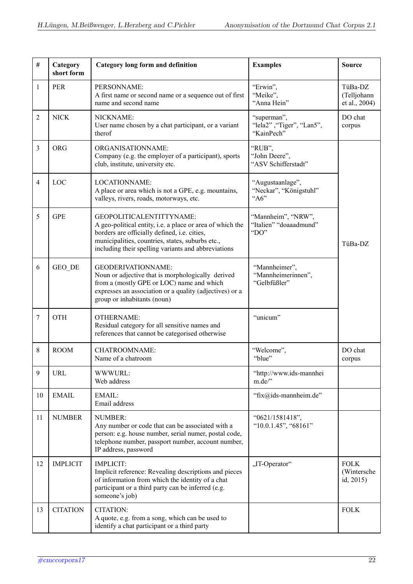| #              | Category<br>short form | <b>Category long form and definition</b>                                                                                                                                                                                                         | <b>Examples</b>                                        | <b>Source</b>                           |
|----------------|------------------------|--------------------------------------------------------------------------------------------------------------------------------------------------------------------------------------------------------------------------------------------------|--------------------------------------------------------|-----------------------------------------|
| $\mathbf{1}$   | PER                    | PERSONNAME:<br>A first name or second name or a sequence out of first<br>name and second name                                                                                                                                                    | "Erwin",<br>"Meike",<br>"Anna Hein"                    | TüBa-DZ<br>(Telljohann<br>et al., 2004) |
| $\overline{2}$ | <b>NICK</b>            | NICKNAME:<br>User name chosen by a chat participant, or a variant<br>therof                                                                                                                                                                      | "superman",<br>"lela2", "Tiger", "Lan5",<br>"KainPech" | DO chat<br>corpus                       |
| $\overline{3}$ | <b>ORG</b>             | ORGANISATIONNAME:<br>Company (e.g. the employer of a participant), sports<br>club, institute, university etc.                                                                                                                                    | "RUB",<br>"John Deere",<br>"ASV Schifferstadt"         |                                         |
| $\overline{4}$ | LOC                    | LOCATIONNAME:<br>A place or area which is not a GPE, e.g. mountains,<br>valleys, rivers, roads, motorways, etc.                                                                                                                                  | "Augustaanlage",<br>"Neckar", "Königstuhl"<br>"A6"     |                                         |
| 5              | <b>GPE</b>             | GEOPOLITICALENTITTYNAME:<br>A geo-political entity, i.e. a place or area of which the<br>borders are officially defined, i.e. cities,<br>municipalities, countries, states, suburbs etc.,<br>including their spelling variants and abbreviations | "Mannheim", "NRW",<br>"Italien" "doaaadmund"<br>"DO"   | TüBa-DZ                                 |
| 6              | GEO DE                 | <b>GEODERIVATIONNAME:</b><br>Noun or adjective that is morphologically derived<br>from a (mostly GPE or LOC) name and which<br>expresses an association or a quality (adjectives) or a<br>group or inhabitants (noun)                            | "Mannheimer",<br>"Mannheimerinnen",<br>"Gelbfüßler"    |                                         |
| 7              | <b>OTH</b>             | <b>OTHERNAME:</b><br>Residual category for all sensitive names and<br>references that cannot be categorised otherwise                                                                                                                            | "unicum"                                               |                                         |
| 8              | <b>ROOM</b>            | <b>CHATROOMNAME:</b><br>Name of a chatroom                                                                                                                                                                                                       | "Welcome",<br>"blue"                                   | DO chat<br>corpus                       |
| 9              | <b>URL</b>             | WWWURL:<br>Web address                                                                                                                                                                                                                           | "http://www.ids-mannhei<br>m.de/"                      |                                         |
| 10             | <b>EMAIL</b>           | EMAIL:<br>Email address                                                                                                                                                                                                                          | "fix@ids-mannheim.de"                                  |                                         |
| 11             | <b>NUMBER</b>          | NUMBER:<br>Any number or code that can be associated with a<br>person: e.g. house number, serial numer, postal code,<br>telephone number, passport number, account number,<br>IP address, password                                               | "0621/1581418",<br>"10.0.1.45", "68161"                |                                         |
| 12             | <b>IMPLICIT</b>        | <b>IMPLICIT:</b><br>Implicit reference: Revealing descriptions and pieces<br>of information from which the identity of a chat<br>participant or a third party can be inferred (e.g.<br>someone's job)                                            | "IT-Operator"                                          | <b>FOLK</b><br>(Wintersche<br>id, 2015) |
| 13             | <b>CITATION</b>        | CITATION:<br>A quote, e.g. from a song, which can be used to<br>identify a chat participant or a third party                                                                                                                                     |                                                        | <b>FOLK</b>                             |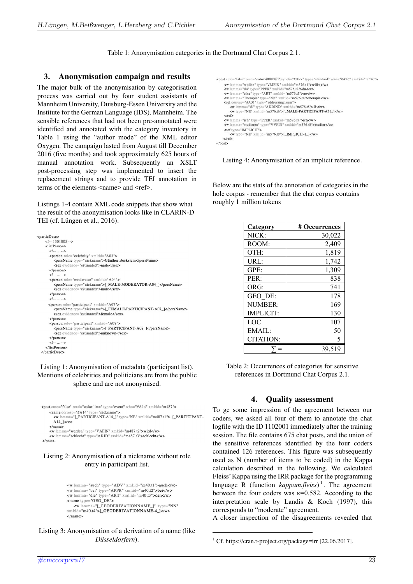Table 1: Anonymisation categories in the Dortmund Chat Corpus 2.1.

## **3. Anonymisation campaign and results**

The major bulk of the anonymisation by categorisation process was carried out by four student assistants of Mannheim University, Duisburg-Essen University and the Institute for the German Language (IDS), Mannheim. The sensible references that had not been pre-annotated were identified and annotated with the category inventory in Table 1 using the "author mode" of the XML editor Oxygen. The campaign lasted from August till December 2016 (five months) and took approximately 625 hours of manual annotation work. Subsequently an XSLT post-processing step was implemented to insert the replacement strings and to provide TEI annotation in terms of the elements  $\langle$  name $\rangle$  and  $\langle$  ref $\rangle$ .

Listings 1-4 contain XML code snippets that show what the result of the anonymisation looks like in CLARIN-D TEI (cf. Lüngen et al., 2016).

| <particdesc></particdesc> |                                                                 |
|---------------------------|-----------------------------------------------------------------|
|                           |                                                                 |
| $\leq$ !-- 1301005 -->    |                                                                 |
| $<$ listPerson $>$        |                                                                 |
| $\langle$ --  -->         |                                                                 |
|                           | <person role="celebrity" xml:id="A03"></person>                 |
|                           | <persname type="nickname">Günther Beckstein</persname>          |
|                           | <sex evidence="estimated">male</sex>                            |
| $<$ /person $>$           |                                                                 |
| $\langle$ --  -- >        |                                                                 |
|                           | <person role="moderator" xml:id="A04"></person>                 |
|                           | <persname type="nickname">[ MALE-MODERATOR-A04 ]</persname>     |
|                           | <sex evidence="estimated">male</sex>                            |
| $<$ /person $>$           |                                                                 |
| $\langle$ --  -->         |                                                                 |
|                           | <person role="participant" xml:id="A07"></person>               |
|                           | <persname type="nickname">[_FEMALE-PARTICIPANT-A07_]</persname> |
|                           | <sex evidence="estimated">female</sex>                          |
| $\langle$ /person>        |                                                                 |
|                           | <person role="participant" xml:id="A08"></person>               |
|                           | <persname type="nickname">[_PARTICIPANT-A08_]</persname>        |
|                           | <sex evidence="estimated">unknown</sex>                         |
| $<$ /person $>$           |                                                                 |
| $\langle$ --  -- >        |                                                                 |
| $\langle$ /listPerson>    |                                                                 |
|                           |                                                                 |
|                           |                                                                 |

#### Listing 1: Anonymisation of metadata (participant list). Mentions of celebrities and politicians are from the public sphere and are not anonymised.

<post auto="false" rend="color:lime" type="event" who="#A14" xml:id="m487"> <name corresp="#A14" type="nickname"><br><w lemma="[\_PARTICIPANT-A14\_]" type="NE" xml:id="m487.t1"> [\_PARTICIPANT-A<sub>14</sub>  $\vert \langle \rangle$   $\vert \langle \rangle$  $<$ /name>

werden" type="VAFIN" xml:id="m487.t2">wird</w></w <w lemma="schlecht" type="ADJD" xml:id="m487.t3">schlecht</w>  $<$ /post>

#### Listing 2: Anonymisation of a nickname without role entry in participant list.

```
<w lemma="auch" type="ADV" xml:id="m40.t1">auch</w>
w lemma="bei" type="APPR" xml:id="m40.t2">bei</w><br>
v lemma="bei" type="APPR" xml:id="m40.t2">bei</w><br>
v lemma="die" type="ART" xml:id="m40.t3">den</w>
<name type="GEO_DE">
    <w lemma="[_GEODERIVATIONNAME_]" type="NN"
xml:id="m40.t4">[_GEODERIVATIONNAME-1_1</a>
\langle/name>
```
Listing 3: Anonymisation of a derivation of a name (like *Düsseldorfern*).

```
<post auto="false" rend="color:#808080" synch="#t427" type="standard" who="#A26" xml;id="m576">
     st auto="false" rend="color:#808080" synch="#t427" type="standard" who="#<br>
<w lemms="wollen" type="YMFIN" xml:id="m576.t1">willst</w><br>
<w lemms="du" type="PPER" xml:id="m576.t2">du</w><br>
<w lemms="ene" type="PPER" xml:id="
       \epsilon/ref>
       <w lemma="ich" tyne="PPER" xml:id="m576.t7">ich</w>
       w lemma= ich type= PPEK Ami:lu= m376.tr >Ich</w><br>w lemma="studieren" type="VVFIN" xml:id="m576.t8">studier</w>
       <ref type="IMPLICIT">
             \frac{1}{2} w type="NE" xml:id="m576.t9">[_IMPLICIT-1_]</w>
      \langle/ref>
\epsilon/nost>
```
Listing 4: Anonymisation of an implicit reference.

Below are the stats of the annotation of categories in the hole corpus - remember that the chat corpus contains roughly 1 million tokens

| Category         | # Occurrences |
|------------------|---------------|
| NICK:            | 30,022        |
| ROOM:            | 2,409         |
| $OTH$ :          | 1,819         |
| URL:             | 1,742         |
| GPE:             | 1,309         |
| PER:             | 838           |
| ORG:             | 741           |
| GEO DE:          | 178           |
| NUMBER:          | 169           |
| <b>IMPLICIT:</b> | 130           |
| LOC              | 107           |
| EMAIL:           | 50            |
| CITATION:        | 5             |
|                  | 39,519        |

Table 2: Occurrences of categories for sensitive references in Dortmund Chat Corpus 2.1.

## **4. Quality assessment**

To ge some impression of the agreement between our coders, we asked all four of them to annotate the chat logfile with the ID 1102001 immediately after the training session. The file contains 675 chat posts, and the union of the sensitive references identified by the four coders contained 126 references. This figure was subsequently used as N (number of items to be coded) in the Kappa calculation described in the following. We calculated Fleiss' Kappa using the IRR package for the programming language R (function *kappam.fleiss*) 1 . The agreement between the four coders was  $\kappa$ =0.582. According to the interpretation scale by Landis & Koch (1997), this corresponds to "moderate" agreement.

A closer inspection of the disagreements revealed that

<sup>1</sup> Cf. https://cran.r-project.org/package=irr [22.06.2017].